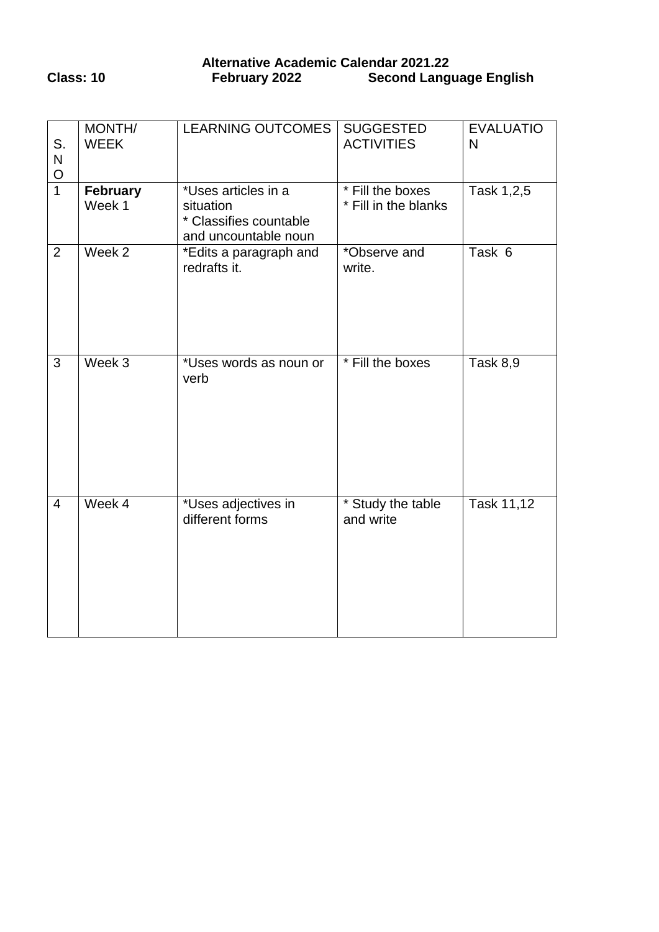# **Alternative Academic Calendar 2021.22 Class: 10 February 2022 Second Language English**

| S.<br>N<br>$rac{O}{1}$ | MONTH/<br><b>WEEK</b> | <b>LEARNING OUTCOMES</b>                                                           | <b>SUGGESTED</b><br><b>ACTIVITIES</b>    | <b>EVALUATIO</b><br>N |
|------------------------|-----------------------|------------------------------------------------------------------------------------|------------------------------------------|-----------------------|
|                        | February<br>Week 1    | *Uses articles in a<br>situation<br>* Classifies countable<br>and uncountable noun | * Fill the boxes<br>* Fill in the blanks | Task 1,2,5            |
| $\overline{2}$         | Week 2                | *Edits a paragraph and<br>redrafts it.                                             | *Observe and<br>write.                   | Task 6                |
| $\overline{3}$         | Week 3                | *Uses words as noun or<br>verb                                                     | * Fill the boxes                         | Task 8,9              |
| $\overline{4}$         | Week 4                | *Uses adjectives in<br>different forms                                             | * Study the table<br>and write           | Task 11,12            |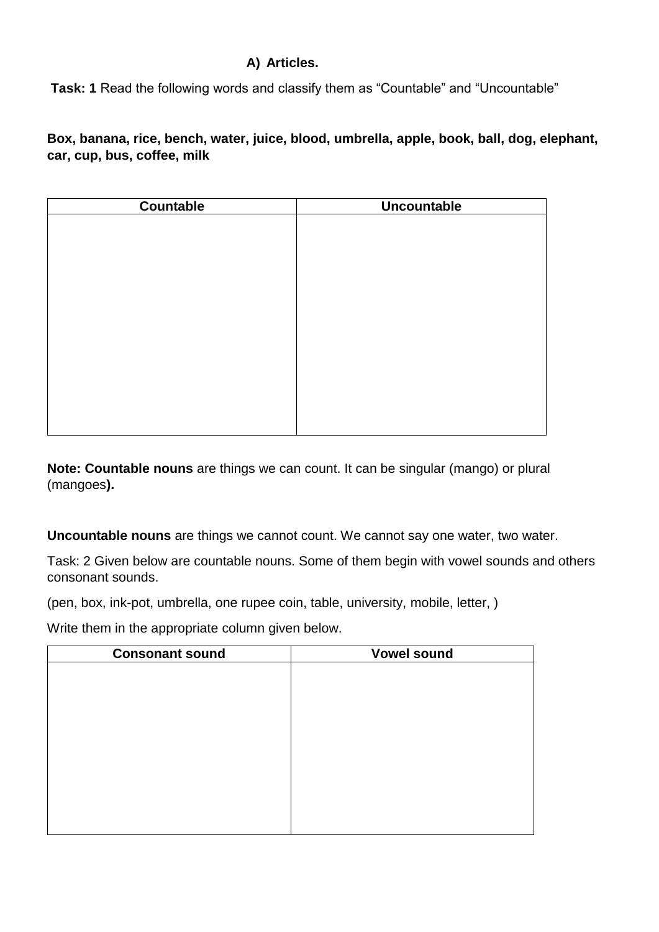# **A) Articles.**

**Task: 1** Read the following words and classify them as "Countable" and "Uncountable"

**Box, banana, rice, bench, water, juice, blood, umbrella, apple, book, ball, dog, elephant, car, cup, bus, coffee, milk**

| Countable | <b>Uncountable</b> |
|-----------|--------------------|
|           |                    |
|           |                    |
|           |                    |
|           |                    |
|           |                    |
|           |                    |
|           |                    |
|           |                    |
|           |                    |
|           |                    |
|           |                    |
|           |                    |
|           |                    |

**Note: Countable nouns** are things we can count. It can be singular (mango) or plural (mangoes**).**

**Uncountable nouns** are things we cannot count. We cannot say one water, two water.

Task: 2 Given below are countable nouns. Some of them begin with vowel sounds and others consonant sounds.

(pen, box, ink-pot, umbrella, one rupee coin, table, university, mobile, letter, )

Write them in the appropriate column given below.

| <b>Consonant sound</b> | <b>Vowel sound</b> |
|------------------------|--------------------|
|                        |                    |
|                        |                    |
|                        |                    |
|                        |                    |
|                        |                    |
|                        |                    |
|                        |                    |
|                        |                    |
|                        |                    |
|                        |                    |
|                        |                    |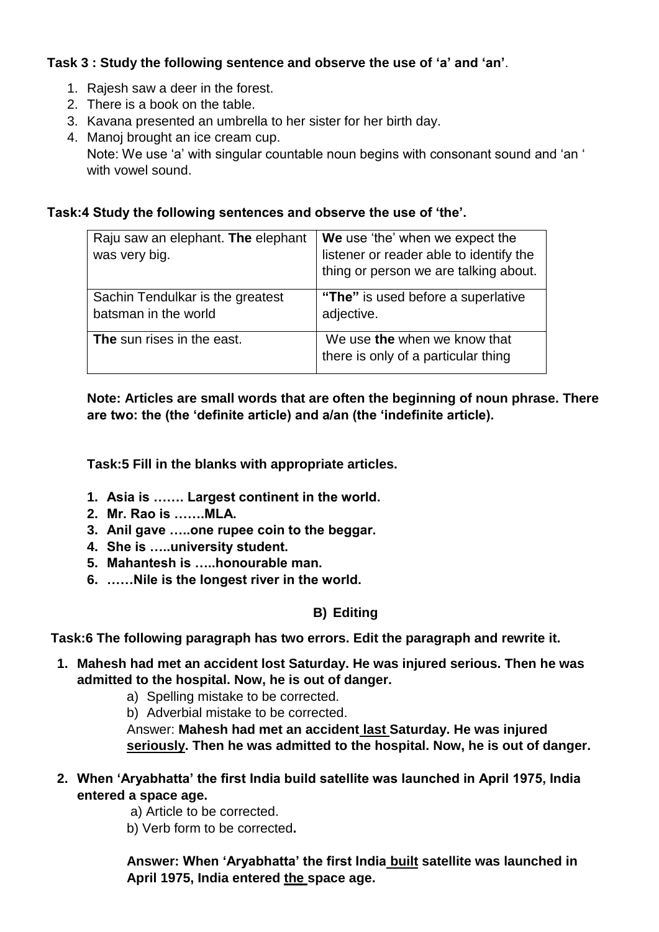# **Task 3 : Study the following sentence and observe the use of 'a' and 'an'**.

- 1. Rajesh saw a deer in the forest.
- 2. There is a book on the table.
- 3. Kavana presented an umbrella to her sister for her birth day.
- 4. Manoj brought an ice cream cup.

Note: We use 'a' with singular countable noun begins with consonant sound and 'an ' with vowel sound.

### **Task:4 Study the following sentences and observe the use of 'the'.**

| Raju saw an elephant. The elephant | We use 'the' when we expect the         |
|------------------------------------|-----------------------------------------|
| was very big.                      | listener or reader able to identify the |
|                                    | thing or person we are talking about.   |
| Sachin Tendulkar is the greatest   | "The" is used before a superlative      |
| batsman in the world               | adjective.                              |
| The sun rises in the east.         | We use the when we know that            |
|                                    | there is only of a particular thing     |

**Note: Articles are small words that are often the beginning of noun phrase. There are two: the (the 'definite article) and a/an (the 'indefinite article).** 

**Task:5 Fill in the blanks with appropriate articles.**

- **1. Asia is ……. Largest continent in the world.**
- **2. Mr. Rao is …….MLA.**
- **3. Anil gave …..one rupee coin to the beggar.**
- **4. She is …..university student.**
- **5. Mahantesh is …..honourable man.**
- **6. ……Nile is the longest river in the world.**

#### **B) Editing**

**Task:6 The following paragraph has two errors. Edit the paragraph and rewrite it.**

- **1. Mahesh had met an accident lost Saturday. He was injured serious. Then he was admitted to the hospital. Now, he is out of danger.** 
	- a) Spelling mistake to be corrected.
	- b) Adverbial mistake to be corrected.

Answer: **Mahesh had met an accident last Saturday. He was injured seriously. Then he was admitted to the hospital. Now, he is out of danger.** 

- **2. When 'Aryabhatta' the first India build satellite was launched in April 1975, India entered a space age.**
	- a) Article to be corrected.
	- b) Verb form to be corrected**.**

**Answer: When 'Aryabhatta' the first India built satellite was launched in April 1975, India entered the space age.**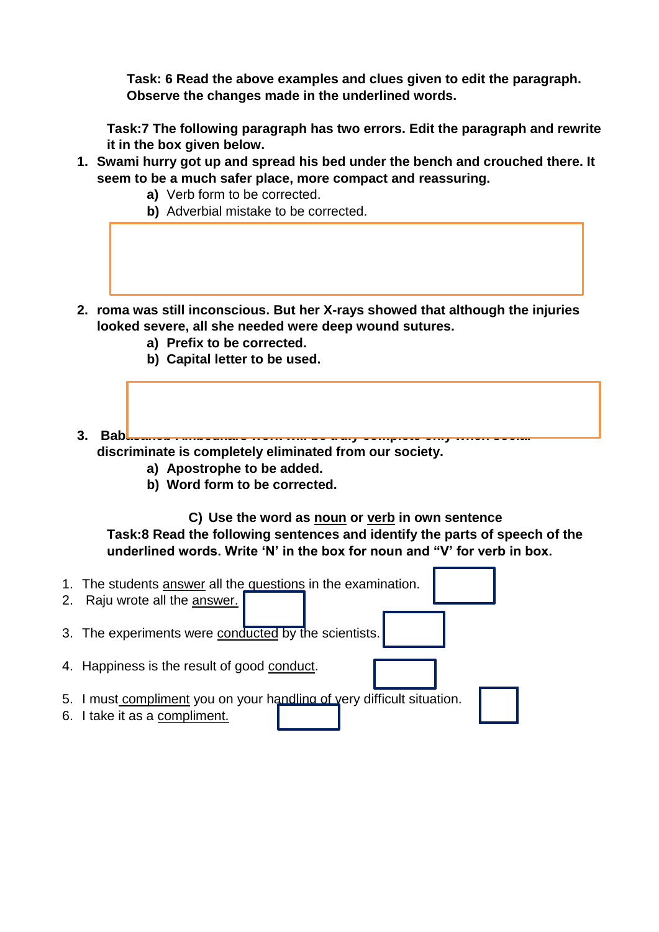**Task: 6 Read the above examples and clues given to edit the paragraph. Observe the changes made in the underlined words.** 

**Task:7 The following paragraph has two errors. Edit the paragraph and rewrite it in the box given below.**

- **1. Swami hurry got up and spread his bed under the bench and crouched there. It seem to be a much safer place, more compact and reassuring.**
	- **a)** Verb form to be corrected.
	- **b)** Adverbial mistake to be corrected.
- **2. roma was still inconscious. But her X-rays showed that although the injuries looked severe, all she needed were deep wound sutures.**
	- **a) Prefix to be corrected.**
	- **b) Capital letter to be used.**
- **3. Babasaheb Ambedkars work will be truly complete only when social discriminate is completely eliminated from our society.**
	- **a) Apostrophe to be added.**
	- **b) Word form to be corrected.**

**C) Use the word as noun or verb in own sentence Task:8 Read the following sentences and identify the parts of speech of the underlined words. Write 'N' in the box for noun and "V' for verb in box.**

- 1. The students answer all the questions in the examination.
- 2. Raju wrote all the answer.
- 3. The experiments were conducted by the scientists.
- 4. Happiness is the result of good conduct.
- 5. I must compliment you on your handling of very difficult situation.
- 6. I take it as a compliment.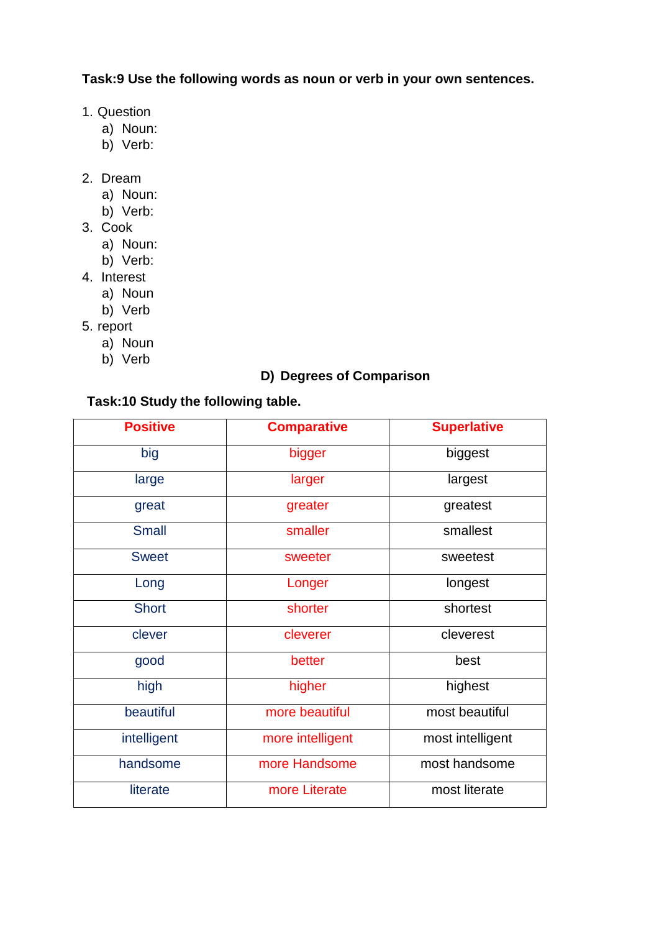**Task:9 Use the following words as noun or verb in your own sentences.**

- 1. Question
	- a) Noun:
	- b) Verb:
- 2. Dream
	- a) Noun:
	- b) Verb:
- 3. Cook
	- a) Noun:
	- b) Verb:
- 4. Interest
	- a) Noun
	- b) Verb
- 5. report
	- a) Noun
	- b) Verb

# **D) Degrees of Comparison**

#### **Task:10 Study the following table.**

| <b>Positive</b> | <b>Comparative</b> | <b>Superlative</b> |
|-----------------|--------------------|--------------------|
| big             | bigger             | biggest            |
| large           | larger             | largest            |
| great           | greater            | greatest           |
| <b>Small</b>    | smaller            | smallest           |
| <b>Sweet</b>    | sweeter            | sweetest           |
| Long            | Longer             | longest            |
| <b>Short</b>    | shorter            | shortest           |
| clever          | cleverer           | cleverest          |
| good            | better             | best               |
| high            | higher             | highest            |
| beautiful       | more beautiful     | most beautiful     |
| intelligent     | more intelligent   | most intelligent   |
| handsome        | more Handsome      | most handsome      |
| literate        | more Literate      | most literate      |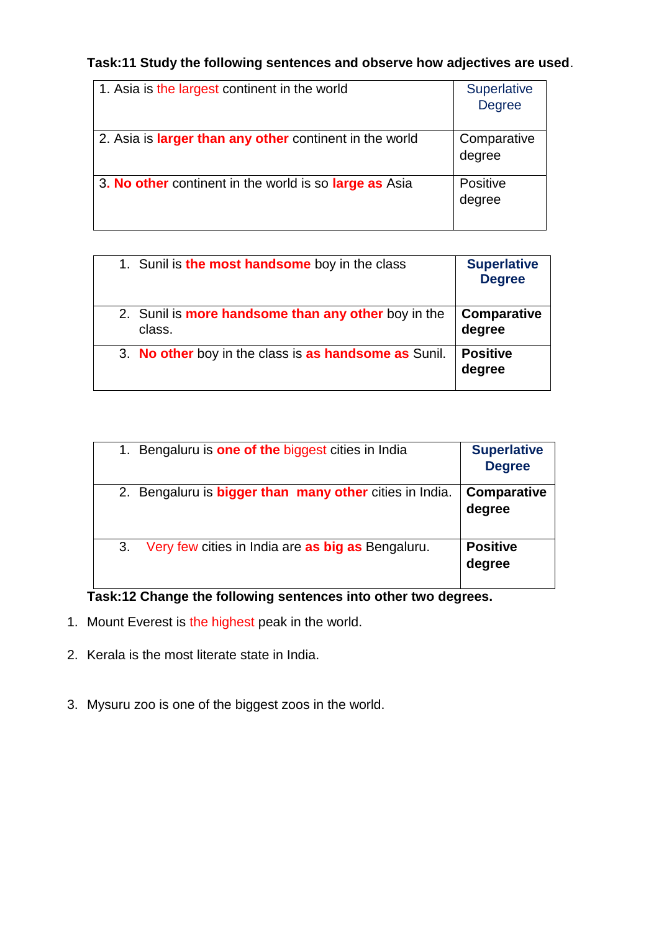**Task:11 Study the following sentences and observe how adjectives are used**.

| 1. Asia is the largest continent in the world                  | <b>Superlative</b><br><b>Degree</b> |
|----------------------------------------------------------------|-------------------------------------|
| 2. Asia is <b>larger than any other</b> continent in the world | Comparative<br>degree               |
| 3. No other continent in the world is so large as Asia         | Positive<br>degree                  |

| 1. Sunil is the most handsome boy in the class                       | <b>Superlative</b><br><b>Degree</b> |
|----------------------------------------------------------------------|-------------------------------------|
| 2. Sunil is <b>more handsome than any other</b> boy in the<br>class. | <b>Comparative</b><br>degree        |
| 3. No other boy in the class is as handsome as Sunil.                | <b>Positive</b><br>degree           |

| 1. Bengaluru is <b>one of the</b> biggest cities in India      | <b>Superlative</b><br><b>Degree</b> |
|----------------------------------------------------------------|-------------------------------------|
| 2. Bengaluru is <b>bigger than many other</b> cities in India. | Comparative<br>degree               |
| Very few cities in India are as big as Bengaluru.<br>3.        | <b>Positive</b><br>degree           |

**Task:12 Change the following sentences into other two degrees.**

- 1. Mount Everest is the highest peak in the world.
- 2. Kerala is the most literate state in India.
- 3. Mysuru zoo is one of the biggest zoos in the world.